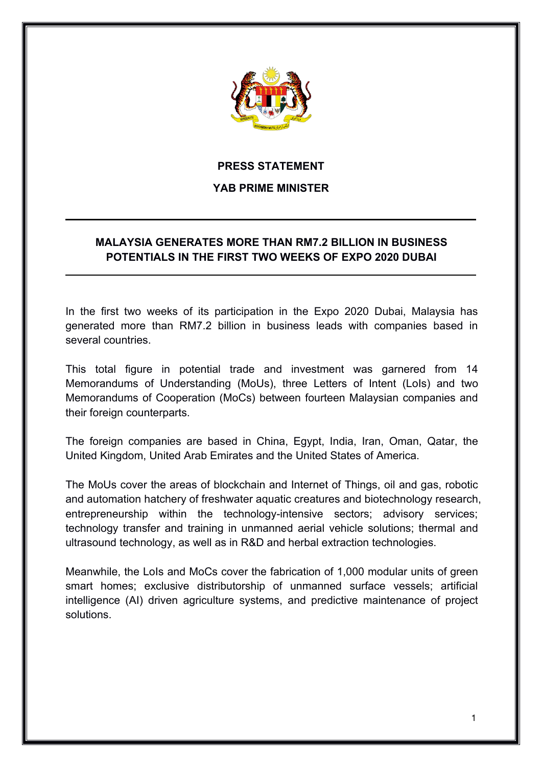

## **PRESS STATEMENT**

## **YAB PRIME MINISTER**

## **MALAYSIA GENERATES MORE THAN RM7.2 BILLION IN BUSINESS POTENTIALS IN THE FIRST TWO WEEKS OF EXPO 2020 DUBAI**

In the first two weeks of its participation in the Expo 2020 Dubai, Malaysia has generated more than RM7.2 billion in business leads with companies based in several countries.

This total figure in potential trade and investment was garnered from 14 Memorandums of Understanding (MoUs), three Letters of Intent (LoIs) and two Memorandums of Cooperation (MoCs) between fourteen Malaysian companies and their foreign counterparts.

The foreign companies are based in China, Egypt, India, Iran, Oman, Qatar, the United Kingdom, United Arab Emirates and the United States of America.

The MoUs cover the areas of blockchain and Internet of Things, oil and gas, robotic and automation hatchery of freshwater aquatic creatures and biotechnology research, entrepreneurship within the technology-intensive sectors; advisory services; technology transfer and training in unmanned aerial vehicle solutions; thermal and ultrasound technology, as well as in R&D and herbal extraction technologies.

Meanwhile, the LoIs and MoCs cover the fabrication of 1,000 modular units of green smart homes; exclusive distributorship of unmanned surface vessels; artificial intelligence (AI) driven agriculture systems, and predictive maintenance of project solutions.